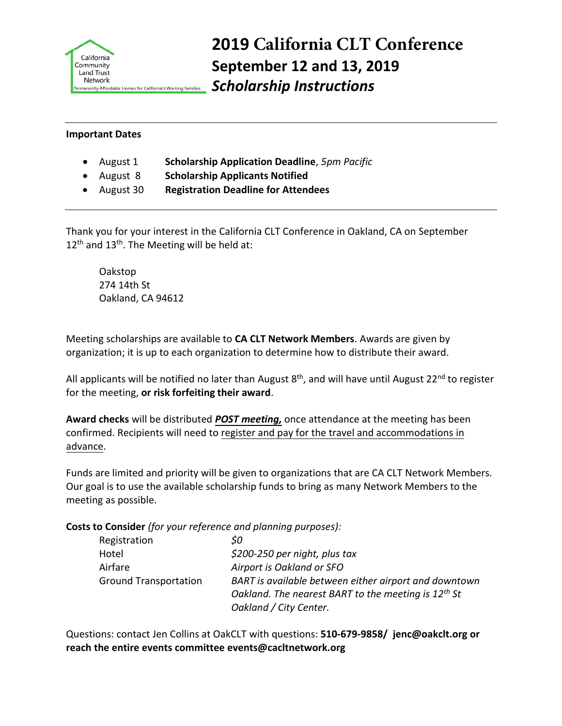

## **2019 California CLT Conference September 12 and 13, 2019** *Scholarship Instructions*

## **Important Dates**

- August 1 **Scholarship Application Deadline**, *5pm Pacific*
- August 8 **Scholarship Applicants Notified**
- August 30 **Registration Deadline for Attendees**

Thank you for your interest in the California CLT Conference in Oakland, CA on September  $12<sup>th</sup>$  and  $13<sup>th</sup>$ . The Meeting will be held at:

Oakstop 274 14th St Oakland, CA 94612

Meeting scholarships are available to **CA CLT Network Members**. Awards are given by organization; it is up to each organization to determine how to distribute their award.

All applicants will be notified no later than August 8<sup>th</sup>, and will have until August 22<sup>nd</sup> to register for the meeting, **or risk forfeiting their award**.

**Award checks** will be distributed *POST meeting,* once attendance at the meeting has been confirmed. Recipients will need to register and pay for the travel and accommodations in advance.

Funds are limited and priority will be given to organizations that are CA CLT Network Members. Our goal is to use the available scholarship funds to bring as many Network Members to the meeting as possible.

**Costs to Consider** *(for your reference and planning purposes):*

| Registration                 | SO.                                                      |
|------------------------------|----------------------------------------------------------|
| Hotel                        | \$200-250 per night, plus tax                            |
| Airfare                      | Airport is Oakland or SFO                                |
| <b>Ground Transportation</b> | BART is available between either airport and downtown    |
|                              | Oakland. The nearest BART to the meeting is $12^{th}$ St |
|                              | Oakland / City Center.                                   |

Questions: contact Jen Collins at OakCLT with questions: **510-679-9858/ jenc@oakclt.org or reach the entire events committee events@cacltnetwork.org**